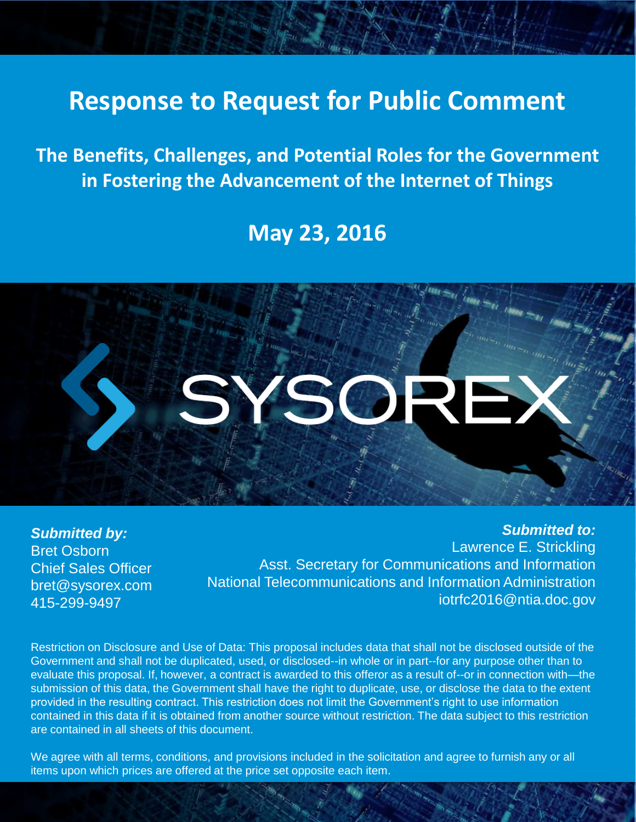# **Response to Request for Public Comment**

**The Benefits, Challenges, and Potential Roles for the Government in Fostering the Advancement of the Internet of Things**

## **May 23, 2016**



*Submitted by:* Bret Osborn Chief Sales Officer bret@sysorex.com 415-299-9497

*Submitted to:* Lawrence E. Strickling Asst. Secretary for Communications and Information National Telecommunications and Information Administration iotrfc2016@ntia.doc.gov

Restriction on Disclosure and Use of Data: This proposal includes data that shall not be disclosed outside of the Government and shall not be duplicated, used, or disclosed--in whole or in part--for any purpose other than to evaluate this proposal. If, however, a contract is awarded to this offeror as a result of--or in connection with—the submission of this data, the Government shall have the right to duplicate, use, or disclose the data to the extent provided in the resulting contract. This restriction does not limit the Government's right to use information contained in this data if it is obtained from another source without restriction. The data subject to this restriction are contained in all sheets of this document.

We agree with all terms, conditions, and provisions included in the solicitation and agree to furnish any or all items upon which prices are offered at the price set opposite each item.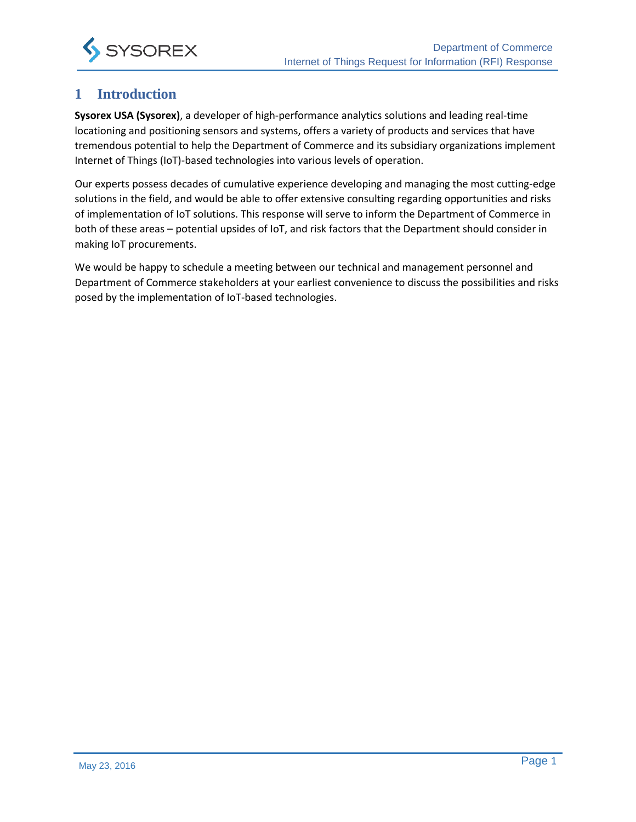

#### **1 Introduction**

**Sysorex USA (Sysorex)**, a developer of high-performance analytics solutions and leading real-time locationing and positioning sensors and systems, offers a variety of products and services that have tremendous potential to help the Department of Commerce and its subsidiary organizations implement Internet of Things (IoT)-based technologies into various levels of operation.

Our experts possess decades of cumulative experience developing and managing the most cutting-edge solutions in the field, and would be able to offer extensive consulting regarding opportunities and risks of implementation of IoT solutions. This response will serve to inform the Department of Commerce in both of these areas – potential upsides of IoT, and risk factors that the Department should consider in making IoT procurements.

We would be happy to schedule a meeting between our technical and management personnel and Department of Commerce stakeholders at your earliest convenience to discuss the possibilities and risks posed by the implementation of IoT-based technologies.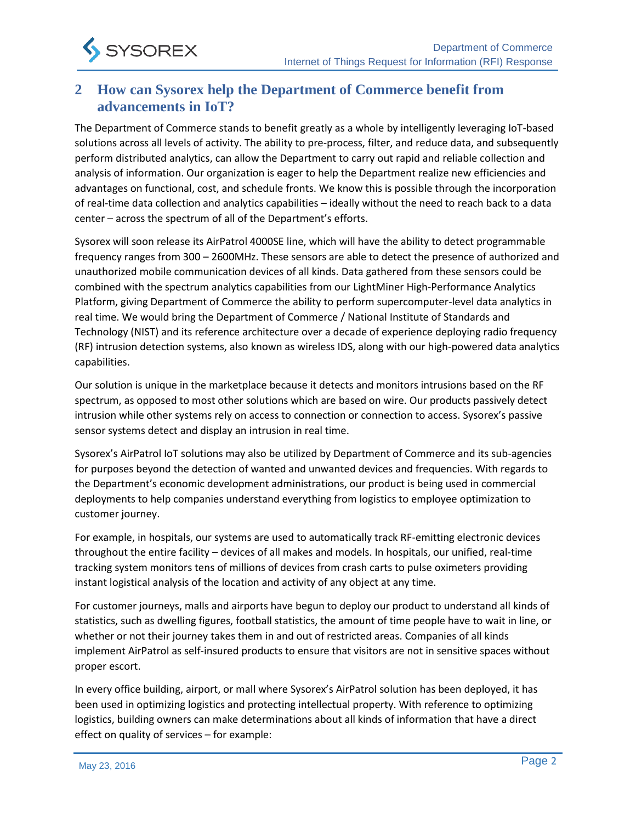

#### **2 How can Sysorex help the Department of Commerce benefit from advancements in IoT?**

The Department of Commerce stands to benefit greatly as a whole by intelligently leveraging IoT-based solutions across all levels of activity. The ability to pre-process, filter, and reduce data, and subsequently perform distributed analytics, can allow the Department to carry out rapid and reliable collection and analysis of information. Our organization is eager to help the Department realize new efficiencies and advantages on functional, cost, and schedule fronts. We know this is possible through the incorporation of real-time data collection and analytics capabilities – ideally without the need to reach back to a data center – across the spectrum of all of the Department's efforts.

Sysorex will soon release its AirPatrol 4000SE line, which will have the ability to detect programmable frequency ranges from 300 – 2600MHz. These sensors are able to detect the presence of authorized and unauthorized mobile communication devices of all kinds. Data gathered from these sensors could be combined with the spectrum analytics capabilities from our LightMiner High-Performance Analytics Platform, giving Department of Commerce the ability to perform supercomputer-level data analytics in real time. We would bring the Department of Commerce / National Institute of Standards and Technology (NIST) and its reference architecture over a decade of experience deploying radio frequency (RF) intrusion detection systems, also known as wireless IDS, along with our high-powered data analytics capabilities.

Our solution is unique in the marketplace because it detects and monitors intrusions based on the RF spectrum, as opposed to most other solutions which are based on wire. Our products passively detect intrusion while other systems rely on access to connection or connection to access. Sysorex's passive sensor systems detect and display an intrusion in real time.

Sysorex's AirPatrol IoT solutions may also be utilized by Department of Commerce and its sub-agencies for purposes beyond the detection of wanted and unwanted devices and frequencies. With regards to the Department's economic development administrations, our product is being used in commercial deployments to help companies understand everything from logistics to employee optimization to customer journey.

For example, in hospitals, our systems are used to automatically track RF-emitting electronic devices throughout the entire facility – devices of all makes and models. In hospitals, our unified, real-time tracking system monitors tens of millions of devices from crash carts to pulse oximeters providing instant logistical analysis of the location and activity of any object at any time.

For customer journeys, malls and airports have begun to deploy our product to understand all kinds of statistics, such as dwelling figures, football statistics, the amount of time people have to wait in line, or whether or not their journey takes them in and out of restricted areas. Companies of all kinds implement AirPatrol as self-insured products to ensure that visitors are not in sensitive spaces without proper escort.

In every office building, airport, or mall where Sysorex's AirPatrol solution has been deployed, it has been used in optimizing logistics and protecting intellectual property. With reference to optimizing logistics, building owners can make determinations about all kinds of information that have a direct effect on quality of services – for example: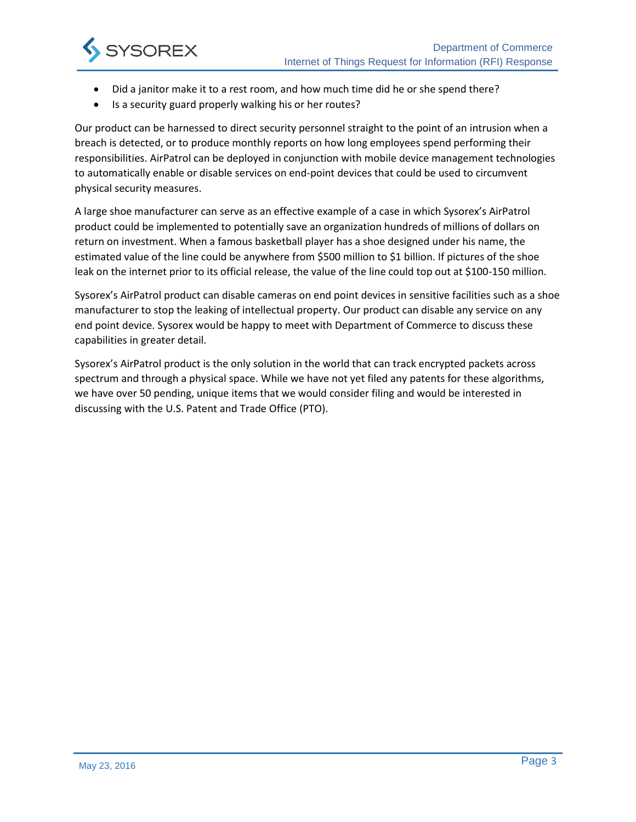

- Did a janitor make it to a rest room, and how much time did he or she spend there?
- Is a security guard properly walking his or her routes?

Our product can be harnessed to direct security personnel straight to the point of an intrusion when a breach is detected, or to produce monthly reports on how long employees spend performing their responsibilities. AirPatrol can be deployed in conjunction with mobile device management technologies to automatically enable or disable services on end-point devices that could be used to circumvent physical security measures.

A large shoe manufacturer can serve as an effective example of a case in which Sysorex's AirPatrol product could be implemented to potentially save an organization hundreds of millions of dollars on return on investment. When a famous basketball player has a shoe designed under his name, the estimated value of the line could be anywhere from \$500 million to \$1 billion. If pictures of the shoe leak on the internet prior to its official release, the value of the line could top out at \$100-150 million.

Sysorex's AirPatrol product can disable cameras on end point devices in sensitive facilities such as a shoe manufacturer to stop the leaking of intellectual property. Our product can disable any service on any end point device. Sysorex would be happy to meet with Department of Commerce to discuss these capabilities in greater detail.

Sysorex's AirPatrol product is the only solution in the world that can track encrypted packets across spectrum and through a physical space. While we have not yet filed any patents for these algorithms, we have over 50 pending, unique items that we would consider filing and would be interested in discussing with the U.S. Patent and Trade Office (PTO).